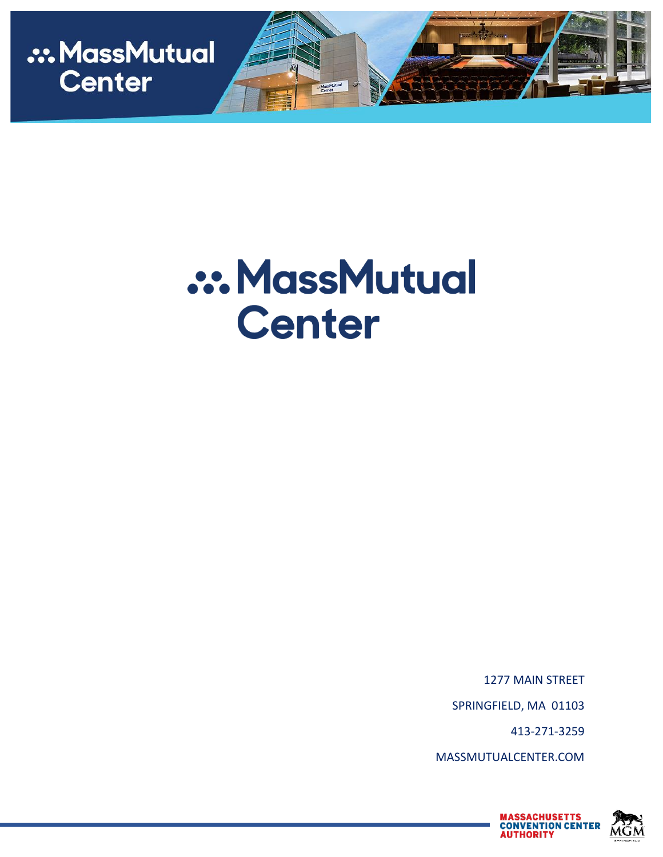

# **.:. MassMutual Center**

1277 MAIN STREET SPRINGFIELD, MA 01103 413-271-3259 MASSMUTUALCENTER.COM

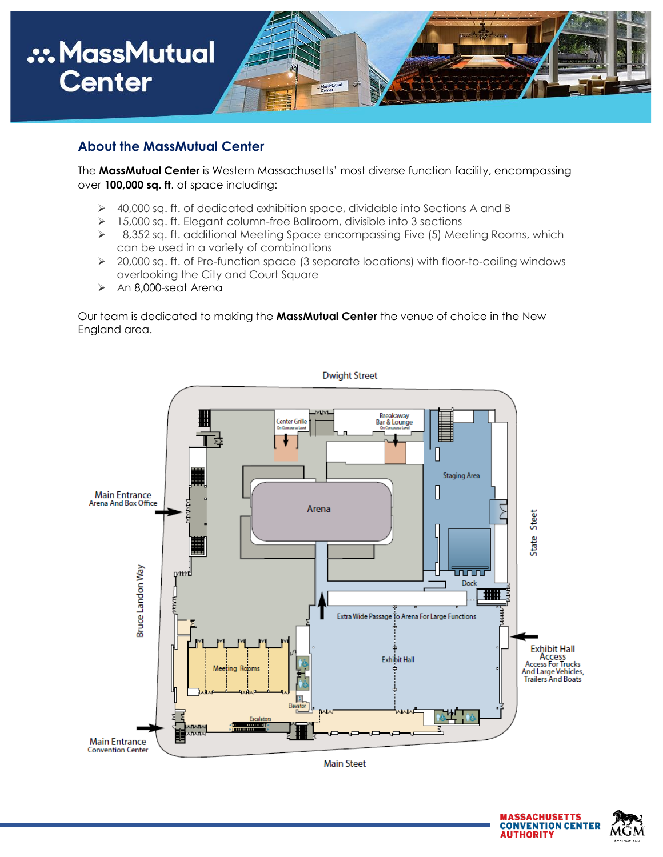

#### **About the MassMutual Center**

The **MassMutual Center** is Western Massachusetts' most diverse function facility, encompassing over **100,000 sq. ft**. of space including:

- 40,000 sq. ft. of dedicated exhibition space, dividable into Sections A and B
- > 15,000 sq. ft. Elegant column-free Ballroom, divisible into 3 sections
- $\geq$  8,352 sq. ft. additional Meeting Space encompassing Five (5) Meeting Rooms, which can be used in a variety of combinations
- 20,000 sq. ft. of Pre-function space (3 separate locations) with floor-to-ceiling windows overlooking the City and Court Square
- $\geq$  An 8,000-seat Arena

Our team is dedicated to making the **MassMutual Center** the venue of choice in the New England area.



**Main Steet** 

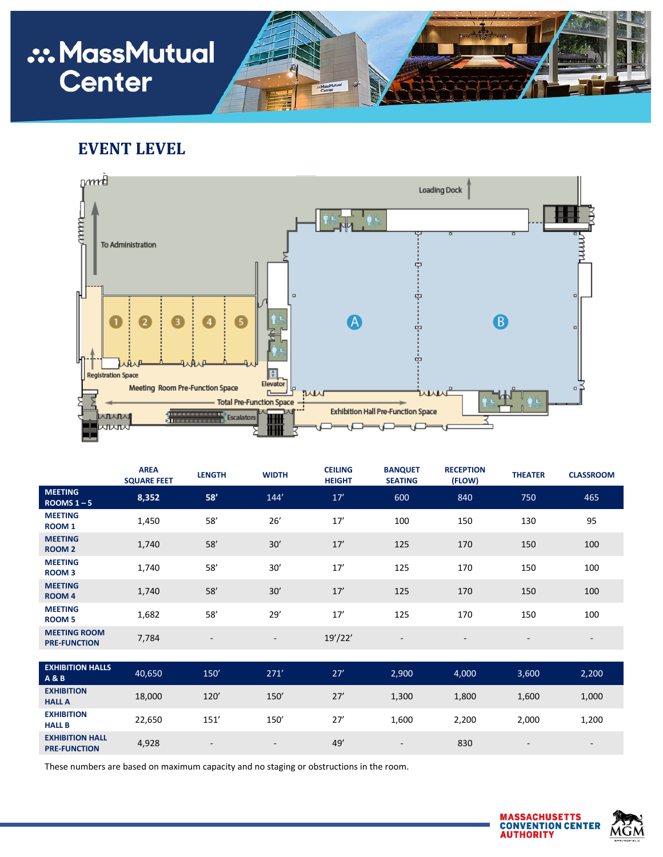## **.:. MassMutual Center**

### **EVENT LEVEL**



|                                            | <b>AREA</b><br><b>SQUARE FEET</b> | <b>LENGTH</b>            | <b>WIDTH</b> | <b>CEILING</b><br><b>HEIGHT</b> | <b>BANQUET</b><br><b>SEATING</b> | <b>RECEPTION</b><br>(FLOW) | <b>THEATER</b>           | <b>CLASSROOM</b>         |
|--------------------------------------------|-----------------------------------|--------------------------|--------------|---------------------------------|----------------------------------|----------------------------|--------------------------|--------------------------|
| <b>MEETING</b><br>ROOMS $1 - 5$            | 8,352                             | 58'                      | 144'         | 17'                             | 600                              | 840                        | 750                      | 465                      |
| <b>MEETING</b><br><b>ROOM1</b>             | 1,450                             | 58'                      | 26'          | 17'                             | 100                              | 150                        | 130                      | 95                       |
| <b>MEETING</b><br><b>ROOM 2</b>            | 1,740                             | 58'                      | 30'          | 17'                             | 125                              | 170                        | 150                      | 100                      |
| <b>MEETING</b><br><b>ROOM3</b>             | 1,740                             | 58'                      | 30'          | 17'                             | 125                              | 170                        | 150                      | 100                      |
| <b>MEETING</b><br><b>ROOM4</b>             | 1,740                             | 58'                      | 30'          | 17'                             | 125                              | 170                        | 150                      | 100                      |
| <b>MEETING</b><br><b>ROOM 5</b>            | 1,682                             | 58'                      | 29'          | 17'                             | 125                              | 170                        | 150                      | 100                      |
| <b>MEETING ROOM</b><br><b>PRE-FUNCTION</b> | 7,784                             | $\overline{\phantom{a}}$ | ۰.           | 19'/22'                         | $\overline{\phantom{a}}$         | $\overline{\phantom{a}}$   | $\overline{\phantom{a}}$ | $\overline{\phantom{a}}$ |
| <b>EXHIBITION HALLS</b><br><b>A&amp;B</b>  | 40,650                            | 150'                     | 271'         | 27'                             | 2,900                            | 4,000                      | 3,600                    | 2,200                    |

| EXHIBITION HALLS<br><b>A&amp;B</b>            | 40,650 | 150'                     | 271'                     | 27' | 2,900                    | 4,000 | 3,600                    | 2,200                    |
|-----------------------------------------------|--------|--------------------------|--------------------------|-----|--------------------------|-------|--------------------------|--------------------------|
| <b>EXHIBITION</b><br><b>HALL A</b>            | 18,000 | 120'                     | 150'                     | 27' | 1,300                    | 1,800 | 1,600                    | 1,000                    |
| <b>EXHIBITION</b><br><b>HALL B</b>            | 22,650 | 151'                     | 150'                     | 27' | 1,600                    | 2,200 | 2,000                    | 1,200                    |
| <b>EXHIBITION HALL</b><br><b>PRE-FUNCTION</b> | 4,928  | $\overline{\phantom{0}}$ | $\overline{\phantom{0}}$ | 49' | $\overline{\phantom{a}}$ | 830   | $\overline{\phantom{a}}$ | $\overline{\phantom{0}}$ |

These numbers are based on maximum capacity and no staging or obstructions in the room.